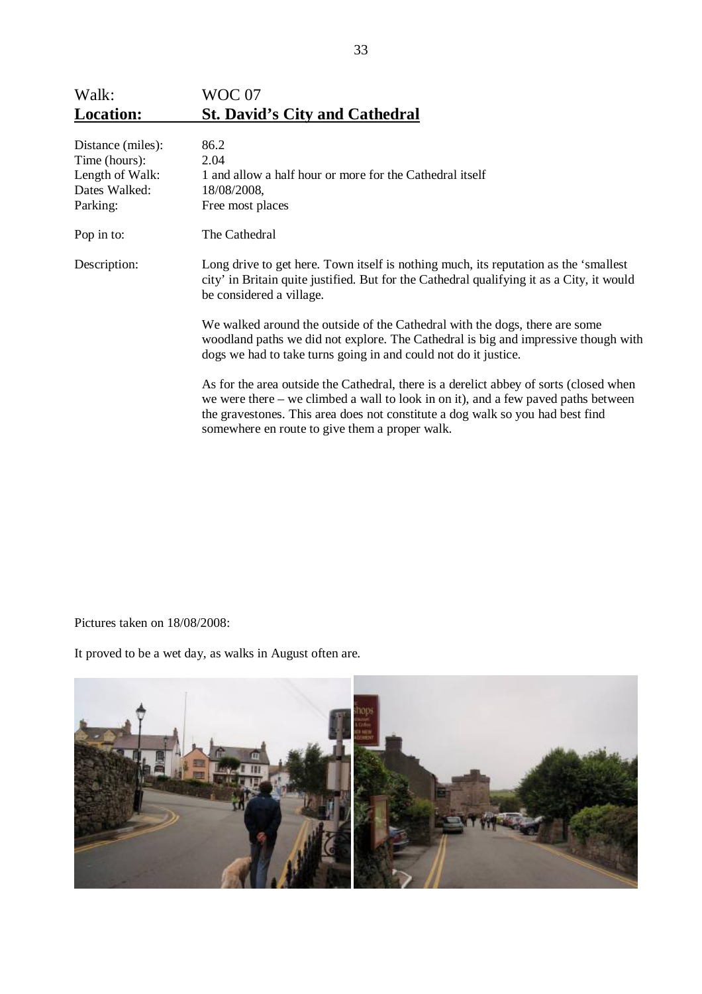| <b>Location:</b> | <b>St. David's City and Cathedral</b> |
|------------------|---------------------------------------|
| Walk:            | WOC 07                                |

| Distance (miles): | 86.2                                                                                                                                                                                                                                                                                                             |
|-------------------|------------------------------------------------------------------------------------------------------------------------------------------------------------------------------------------------------------------------------------------------------------------------------------------------------------------|
| Time (hours):     | 2.04                                                                                                                                                                                                                                                                                                             |
| Length of Walk:   | 1 and allow a half hour or more for the Cathedral itself                                                                                                                                                                                                                                                         |
| Dates Walked:     | 18/08/2008,                                                                                                                                                                                                                                                                                                      |
| Parking:          | Free most places                                                                                                                                                                                                                                                                                                 |
| Pop in to:        | The Cathedral                                                                                                                                                                                                                                                                                                    |
| Description:      | Long drive to get here. Town itself is nothing much, its reputation as the 'smallest<br>city' in Britain quite justified. But for the Cathedral qualifying it as a City, it would<br>be considered a village.                                                                                                    |
|                   | We walked around the outside of the Cathedral with the dogs, there are some<br>woodland paths we did not explore. The Cathedral is big and impressive though with<br>dogs we had to take turns going in and could not do it justice.                                                                             |
|                   | As for the area outside the Cathedral, there is a derelict abbey of sorts (closed when<br>we were there – we climbed a wall to look in on it), and a few paved paths between<br>the gravestones. This area does not constitute a dog walk so you had best find<br>somewhere en route to give them a proper walk. |

Pictures taken on 18/08/2008:

It proved to be a wet day, as walks in August often are.

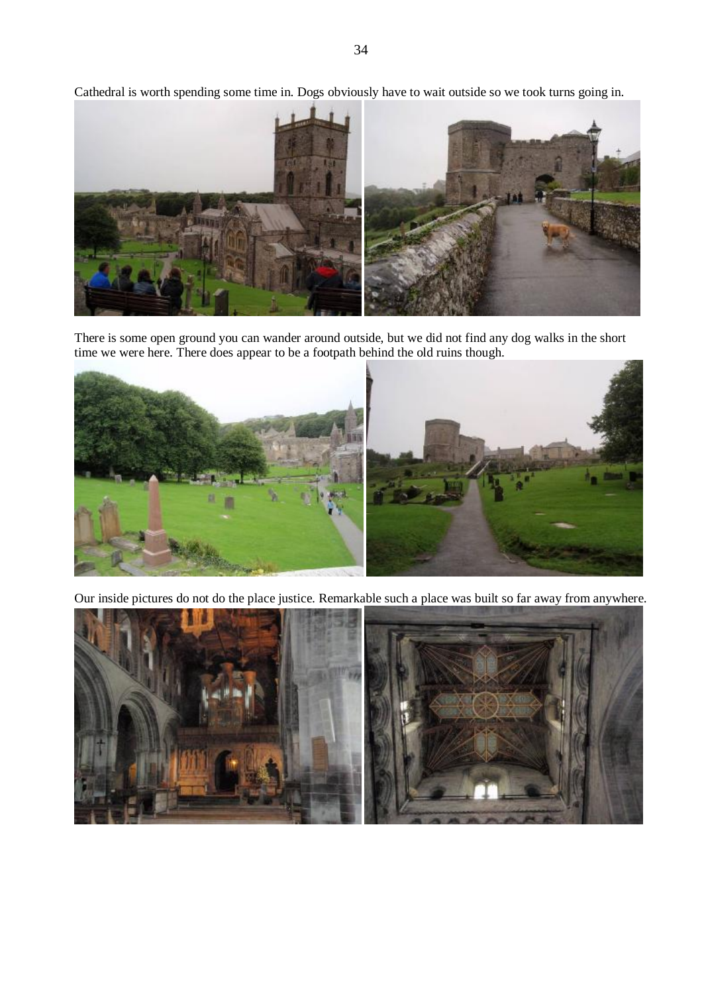Cathedral is worth spending some time in. Dogs obviously have to wait outside so we took turns going in.



There is some open ground you can wander around outside, but we did not find any dog walks in the short time we were here. There does appear to be a footpath behind the old ruins though.



Our inside pictures do not do the place justice. Remarkable such a place was built so far away from anywhere.